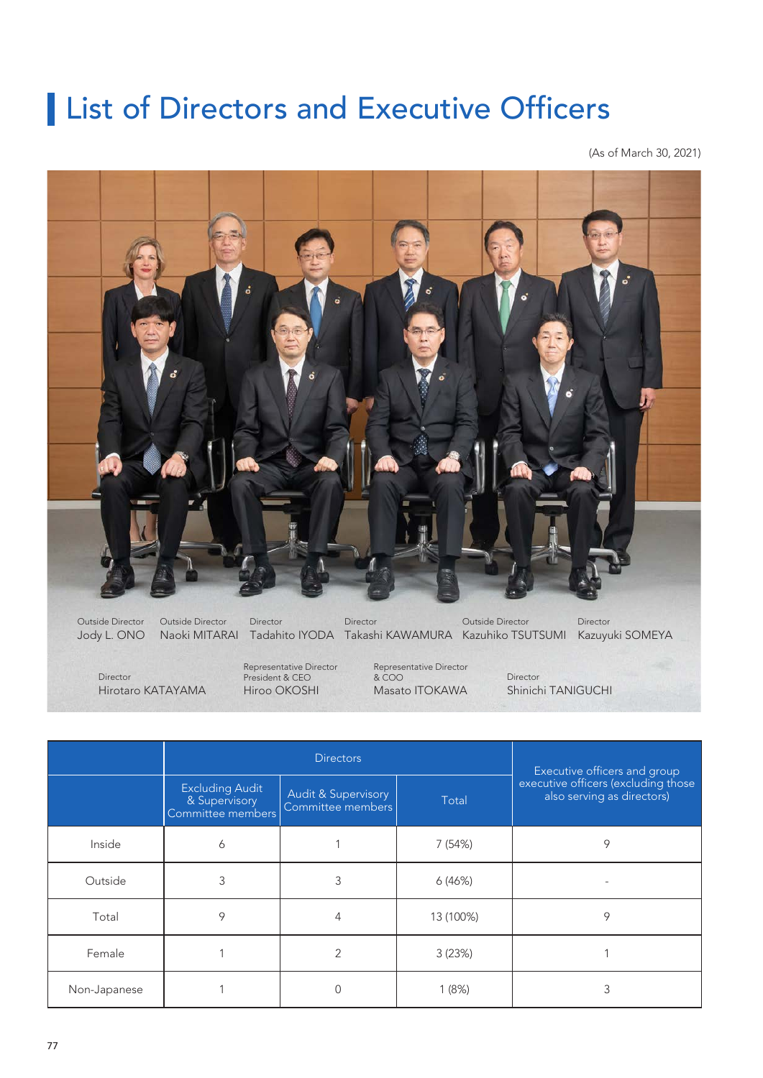# **List of Directors and Executive Officers**

(As of March 30, 2021)



Jody L. ONO Naoki MITARAI Tadahito IYODA Takashi KAWAMURA Kazuhiko TSUTSUMI Kazuyuki SOMEYA Outside Director Outside Director Director Director Outside Director Director

Hirotaro KATAYAMA Director

Hiroo OKOSHI Representative Director President & CEO

Masato ITOKAWA Representative Director & COO

Shinichi TANIGUCHI Director

|              | <b>Directors</b>                                             |                                                     |           | Executive officers and group                                      |
|--------------|--------------------------------------------------------------|-----------------------------------------------------|-----------|-------------------------------------------------------------------|
|              | <b>Excluding Audit</b><br>& Supervisory<br>Committee members | <b>Audit &amp; Supervisory</b><br>Committee members | Total     | executive officers (excluding those<br>also serving as directors) |
| Inside       | 6                                                            |                                                     | 7 (54%)   | 9                                                                 |
| Outside      | 3                                                            | 3                                                   | 6(46%)    |                                                                   |
| Total        | 9                                                            | 4                                                   | 13 (100%) | 9                                                                 |
| Female       |                                                              | 2                                                   | 3(23%)    |                                                                   |
| Non-Japanese |                                                              | 0                                                   | 1(8%)     | 3                                                                 |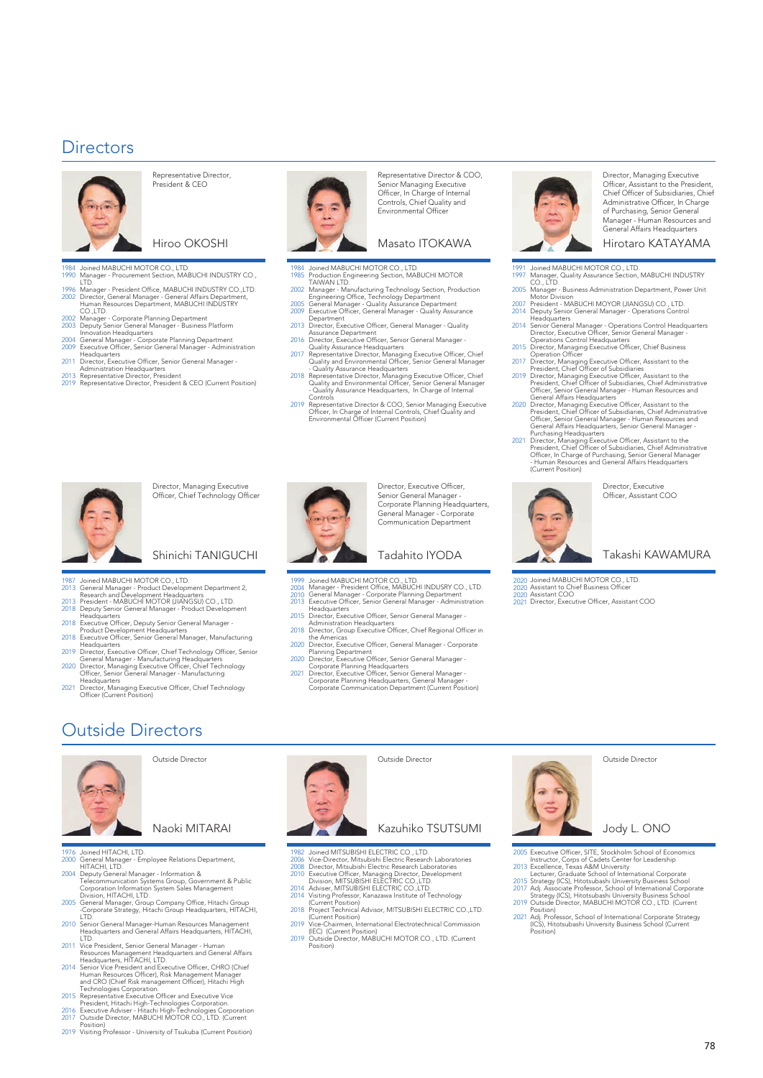### **Directors**



Representative Director, President & CEO

### Hiroo OKOSHI

- 1984 Joined MABUCHI MOTOR CO., LTD. Manager Procurement Section, MABUCHI INDUSTRY CO., 1990 Manager - Procu
- 1996 2002 LTD.<br>Manager - President Office, MABUCHI INDUSTRY CO.,LTD. Director, General Manager - General Affairs Department<br>Human Resources Department, MABUCHI INDUSTRY
- 
- 2002 2003
- 2004 2009 Human Resources Department, MABUCHI INDUSTRY<br>CO.,LTD.<br>Manager - Corporate Planning Department<br>Deputy Senior General Manager - Business Platform<br>Innovation Headquarters<br>General Manager - Corporate Planning Department<br>Execut
- 2011 Headquarters Director, Executive Officer, Senior General Manager -
- 
- 2013 2019 Administration Headquarters Representative Director, President Representative Director, President & CEO (Current Position)
- 



Representative Director & COO, Senior Managing Executive Officer, In Charge of Internal Controls, Chief Quality and Environmental Officer

Masato ITOKAWA

- 1984 1985 Joined MABUCHI MOTOR CO., LTD.
- 2002
- Production Engineering Section, MABUCHI MOTOR<br>TAIWAN LTD.<br>Manager Manufacturing Technology Section, Production<br>Engineering Office, Technology Department<br>General Manager Quality Assurance Department<br>Executive Officer, G
- 2005 2009
- 2013 Director, Executive Officer, General Manager Quality Assurance Department
- 2016 Director, Executive Officer, Senior General Manager - Quality Assurance Headquarters
- 2017 Representative Director, Managing Executive Officer, Chief Quality and Environmental Officer, Senior General Manager
- 2018 - Quality Assurance Headquarters Representative Director, Managing Executive Officer, Chief Quality and Environmental Officer, Senior General Manager - Quality Assurance Headquarters, In Charge of Internal
- 2019 Controls Representative Director & COO, Senior Managing Executive Officer, In Charge of Internal Controls, Chief Quality and Environmental Officer (Current Position)



Director, Managing Executive Officer, Chief Technology Officer

### Shinichi TANIGUCHI

1987

- 2013 Joined MABUCHI MOTOR CO., LTD. General Manager - Product Development Department 2, Research and Development Headquarters
- 2013 2018 President - MABUCHI MOTOR (JIANGSU) CO., LTD. Deputy Senior General Manager - Product Development
- 2018
- Headquarters Executive Officer, Deputy Senior General Manager Product Development Headquarters
- 2018 Executive Officer, Senior General Manager, Manufacturing
- 2019 2020 Headquarters<br>Director, Executive Officer, Chief Technology Officer, Senior<br>General Manager - Manufacturing Headquarters<br>Dificer, Senior General Manager - Manufacturing<br>Officer, Senior General Manager - Manufacturing
- 2021 Headquarters Director, Managing Executive Officer, Chief Technology Officer (Current Position)



1999

Director, Executive Officer, Senior General Manager - Corporate Planning Headquarters, General Manager - Corporate Communication Department

### Tadahito IYODA

- Joined MABUCHI MOTOR CO., LTD.
- 2004 2010 2013
- Manager President Office, MABUCHI INDUSRY CO., LTD. General Manager Corporate Planning Department Executive Officer, Senior General Manager Administration Headquarters
- 2015 Director, Executive Officer, Senior General Manager -
- 2018 Administration Headquarters Director, Group Executive Officer, Chief Regional Officer in
- 2020 the Americas Director, Executive Officer, General Manager Corporate 2020 Planning Department Director, Executive Officer, Senior General Manager -
- 2021 Corporate Planning Headquarters Director, Executive Officer, Senior General Manager -
- Corporate Planning Headquarters, General Manager Corporate Communication Department (Current Position)



Director, Managing Executive Officer, Assistant to the President, Chief Officer of Subsidiaries, Chief Administrative Officer, In Charge of Purchasing, Senior General Manager - Human Resources and General Affairs Headquarters

#### Hirotaro KATAYAMA

- 1991 1997 Joined MABUCHI MOTOR CO., LTD. Manager, Quality Assurance Section, MABUCHI INDUSTRY
- 2005 CO., LTD. <sub>1.</sub><br>- Business Administration Department, Power Unit
- 2007 2014 Deputy Senior General Manager - Operations Control Motor Division President - MABUCHI MOYOR (JIANGSU) CO., LTD.
- 2014
- 2015
- 2017
- 2019 Headquarters<br>
Headquarters<br>
Senior General Manager - Operations Control Headquarters<br>
Director, Executive Officer, Senior General Manager -<br>
Operations Control Headquarters<br>
Director, Managing Executive Officer, Chief Busi
- 2020
- 2021 Officer, Senior General Manager - Human Resources and<br>General Affairs Headquarters, Senior General Manager -<br>Purchasing Headquarters<br>Director, Managing Executive Officer, Assistant to the<br>Director, Managing Executive Offic - Human Resource<br>(Current Position)

Director, Executive Officer, Assistant COO

### Takashi KAWAMURA

- 2020 Joined MABUCHI MOTOR CO., LTD. 2020
- Assistant to Chief Business Officer Assistant COO
- 2020 2021 Director, Executive Officer, Assistant COO

## Outside Directors



Outside Director

Naoki MITARAI

- 1976 2000 2004 Joined HITACHI, LTD. LTD.<br>- Employee Relations Department, HITACHI, LTD. Deputy General Manager - Information &
- Telecommunication Systems Group, Government & Public Corporation Information System Sales Management
- 2005 Division, HITACHI, LTD. General Manager, Group Company Office, Hitachi Group -Corporate Strategy, Hitachi Group Headquarters, HITACHI, LTD.
- 2010 Senior General Manager-Human Resources Management Headquarters and General Affairs Headquarters, HITACHI,
- 2011
- 2014 LTD.<br>Wice President, Senior General Manager - Human<br>Resources Management Headquarters and General Affairs<br>Headquarters, HITACHI, LTD.<br>Senior Vice President and Executive Officer, CHRO (Chief<br>Human Resources Officer), Risk
- 2015 Technologies Corporation. Representative Executive Officer and Executive Vice
- 2016 2017 President, Hitachi High-Technologies Corporation. Executive Adviser - Hitachi High-Technologies Corporation Outside Director, MABUCHI MOTOR CO., LTD. (Current
- 2019 Position) Visiting Professor University of Tsukuba (Current Position)



### Outside Director

### Kazuhiko TSUTSUMI

- 1982 2006 Joined MITSUBISHI ELECTRIC CO., LTD. Vice-Director, Mitsubishi Electric Research Laboratories
- 2008 2010 Director, Mitsubishi Electric Research Laboratories<br>Executive Officer, Managing Director, Development<br>Division, MITSUBISHI ELECTRIC CO.,LTD.<br>Adviser, MITSUBISHI ELECTRIC CO.,LTD.<br>Visiting Professor, Kanazawa Institute of T
- 2014 2014
- 2018 (Current Position) Project Technical Advisor, MITSUBISHI ELECTRIC CO.,LTD.
- 2019 (Current Position) Vice-Chairmen, International Electrotechnical Commission
- 2019 (IEC) (Current Position) Outside Director, MABUCHI MOTOR CO., LTD. (Current Position)



#### Outside Director

Jody L. ONO

- 2005 Executive Officer, SITE, Stockholm School of Economics Instructor, Corps of Cadets Center for Leadership
- 2013 Excellence, Texas A&M University Lecturer, Graduate School of International Corporate
- 2015 2017 Strategy (ICS), Hitotsubashi University Business School Adj. Associate Professor, School of International Corporate Strategy (ICS), Hitotsubashi University Business School Outside Director, MABUCHI MOTOR CO., LTD. (Current
- 2019 Position)
- 2021 Adj. Professor, School of International Corporate Strategy (ICS), Hitotsubashi University Business School (Current Position)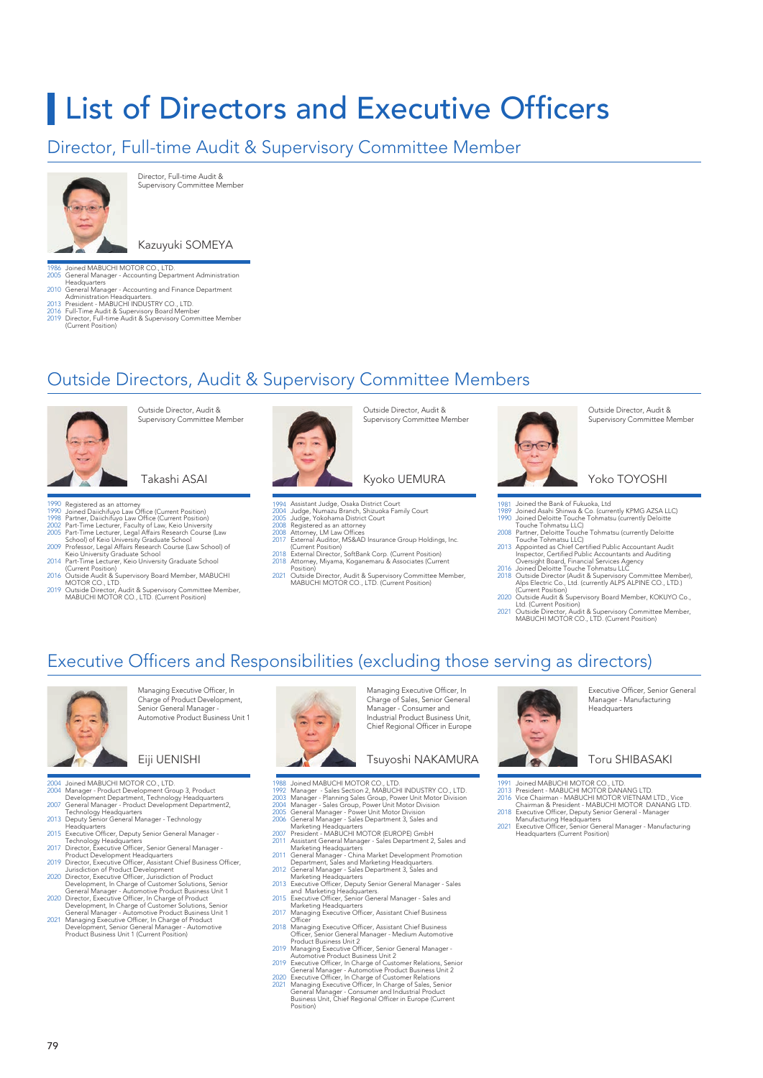# **List of Directors and Executive Officers**

### Director, Full-time Audit & Supervisory Committee Member



Director, Full-time Audit & Supervisory Committee Member

### Kazuyuki SOMEYA

1986 2005 Joined MABUCHI MOTOR CO., LTD. General Manager - Accounting Department Administration Headquarters General Manager - Accounting and Finance Department

- 2010
- 2013 Administration Headquarters. President MABUCHI INDUSTRY CO., LTD.
- 2016 2019 Full-Time Audit & Supervisory Board Member Director, Full-time Audit & Supervisory Committee Member (Current Position)

## Outside Directors, Audit & Supervisory Committee Members



Outside Director, Audit & Supervisory Committee Member

Takashi ASAI

- 
- 1990 1990 1998 2002 2005 Registered as an attorney Joined Daiichifuyo Law Office (Current Position)
- 
- 
- 2009 Partner, Daiichifuyo Law Office (Current Position)<br>Part-Time Lecturer, Faculty of Law, Keio University<br>Part-Time Lecturer, Legal Affairs Research Course (Law<br>School) of Keio University Graduate School<br>Professor, Legal Affa
- 2014 Part-Time Lecturer, Keio University Graduate School (Current Position)
- 2016
- 2019 Outside Audit & Supervisory Board Member, MABUCHI<br>MOTOR CO., LTD.<br>Outside Director, Audit & Supervisory Committee Member,<br>MABUCHI MOTOR CO., LTD. (Current Position)



Supervisory Committee Member

Outside Director, Audit &

### Kyoko UEMURA

- 
- Assistant Judge, Osaka District Court Judge, Numazu Branch, Shizuoka Family Court Judge, Yokohama District Court Registered as an attorney
- 1994 2004 2005 2008
- 2008 2017 Attorney, LM Law Offices External Auditor, MS&AD Insurance Group Holdings, Inc.
- 2018 (Current Position) External Director, SoftBank Corp. (Current Position)
- 2018 Attorney, Miyama, Koganemaru & Associates (Current Position) 2021
- Outside Director, Audit & Supervisory Committee Member, MABUCHI MOTOR CO., LTD. (Current Position)



Outside Director, Audit & Supervisory Committee Member

#### Yoko TOYOSHI

- 
- 1981 1989 1990 Joined the Bank of Fukuoka, Ltd Joined Asahi Shinwa & Co. (currently KPMG AZSA LLC) Joined Deloitte Touche Tohmatsu (currently Deloitte Touche Tohmatsu LLC)
- 2008 Partner, Deloitte Touche Tohmatsu (currently Deloitte Touche Tohmatsu LLC)
- 2013
- 2016 2018 Appointed as Chief Certified Public Accountant Audit<br>Inspector, Certified Public Accountants and Auditing<br>Oversight Board, Financial Services Agency<br>Joined Deloitte Touche Tolmatsu LLC<br>Outside Director (Audit & Supervisory
- 2020 Outside Audit & Supervisory Board Member, KOKUYO Co., Ltd. (Current Position)
- 2021 Outside Director, Audit & Supervisory Committee Member, MABUCHI MOTOR CO., LTD. (Current Position)

### Executive Officers and Responsibilities (excluding those serving as directors)



Managing Executive Officer, In Charge of Product Development, Senior General Manager - Automotive Product Business Unit 1

### Eiji UENISHI

- 2004 2004
- 
- 2007 Joined MABUCHI MOTOR CO., LTD.<br>Manager - Product Development Group 3, Product<br>Development Department, Technology Headquarters<br>General Manager - Product Development Department2,<br>Technology Headquarters<br>Deputy Senior General
- 2013
- 2015 Deputy Senior General Manager - Technology<br>Headquarters<br>Executive Officer, Deputy Senior General Manager
- 
- 2017
- 2019
- 2020
- 2020
- 2021 Executive Officer, Deputy Senior General Manager<br>
Executive Officer, Deputy Senior General Manager -<br>
Director, Executive Officer, Senior General Manager -<br>
Director, Executive Officer, Assistant Chief Business Officer,<br>
D



Managing Executive Officer, In Charge of Sales, Senior General Manager - Consumer and Industrial Product Business Unit, Chief Regional Officer in Europe

### Tsuyoshi NAKAMURA

- 
- 1988 1992 2003 2004 2005 2006
- 
- 2007 2011
- 2011 2012
- 2013
- 2015
- 2017
- 2018 2019
- 2019
- 2020 2021
- Joined MABUCHI MOTOR CO., LTD.<br>Manager Sales Section 2, MABUCHI INDUSTRY CO., LTD.<br>Manager Sales Section 2, MABUCHI INDUSTRY CO., LTD.<br>Manager Planning Sales Group, Power Unit Motor Division<br>General Manager Seles G



Executive Officer, Senior General Manager - Manufacturing **Headquarters** 

### Toru SHIBASAKI

- 
- 1991 2013 2016
- 
- 2018
- 2021 Joined MABUCHI MOTOR CO., LTD.<br>President - MABUCHI MOTOR DANANG LTD.<br>Vice Chairman - MABUCHI MOTOR VIETNAM LTD., Vice<br>Chairman & President - MABUCHI MOTOR DANANG LTD.<br>Executive Officer, Deputy Senior General - Manager<br>Manu